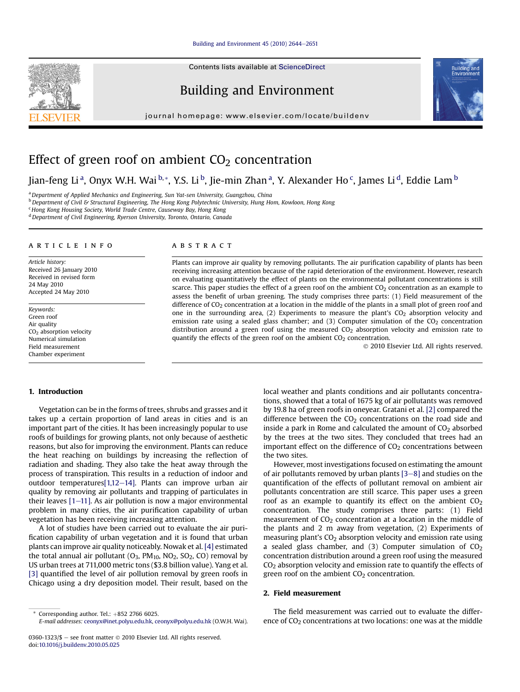#### Building and Environment  $45$  (2010) 2644-[2651](http://dx.doi.org/10.1016/j.buildenv.2010.05.025)

Contents lists available at [ScienceDirect](www.sciencedirect.com/science/journal/03601323)

# Building and Environment

journal homepage: [www.elsevier.com/locate/buildenv](http://www.elsevier.com/locate/buildenv)



# Effect of green roof on ambient  $CO<sub>2</sub>$  concentration

Jian-feng Li<sup>a</sup>, Onyx W.H. Wai <sup>b,</sup>\*, Y.S. Li <sup>b</sup>, Jie-min Zhan <sup>a</sup>, Y. Alexander Ho <sup>c</sup>, James Li <sup>d</sup>, Eddie Lam <sup>b</sup>

<sup>a</sup> Department of Applied Mechanics and Engineering, Sun Yat-sen University, Guangzhou, China

**b** Department of Civil & Structural Engineering, The Hong Kong Polytechnic University, Hung Hom, Kowloon, Hong Kong

<sup>c</sup> Hong Kong Housing Society, World Trade Centre, Causeway Bay, Hong Kong

<sup>d</sup> Department of Civil Engineering, Ryerson University, Toronto, Ontario, Canada

#### article info

Article history: Received 26 January 2010 Received in revised form 24 May 2010 Accepted 24 May 2010

Keywords: Green roof Air quality CO2 absorption velocity Numerical simulation Field measurement Chamber experiment

#### 1. Introduction

Vegetation can be in the forms of trees, shrubs and grasses and it takes up a certain proportion of land areas in cities and is an important part of the cities. It has been increasingly popular to use roofs of buildings for growing plants, not only because of aesthetic reasons, but also for improving the environment. Plants can reduce the heat reaching on buildings by increasing the reflection of radiation and shading. They also take the heat away through the process of transpiration. This results in a reduction of indoor and outdoor temperatures[1,12-14]. Plants can improve urban air quality by removing air pollutants and trapping of particulates in their leaves  $[1-11]$ . As air pollution is now a major environmental problem in many cities, the air purification capability of urban vegetation has been receiving increasing attention.

A lot of studies have been carried out to evaluate the air purification capability of urban vegetation and it is found that urban plants can improve air quality noticeably. Nowak et al. [4] estimated the total annual air pollutant  $(O_3, PM_{10}, NO_2, SO_2, CO)$  removal by US urban trees at 711,000 metric tons (\$3.8 billion value). Yang et al. [3] quantified the level of air pollution removal by green roofs in Chicago using a dry deposition model. Their result, based on the

#### **ABSTRACT**

Plants can improve air quality by removing pollutants. The air purification capability of plants has been receiving increasing attention because of the rapid deterioration of the environment. However, research on evaluating quantitatively the effect of plants on the environmental pollutant concentrations is still scarce. This paper studies the effect of a green roof on the ambient CO<sub>2</sub> concentration as an example to assess the benefit of urban greening. The study comprises three parts: (1) Field measurement of the difference of  $CO<sub>2</sub>$  concentration at a location in the middle of the plants in a small plot of green roof and one in the surrounding area,  $(2)$  Experiments to measure the plant's  $CO<sub>2</sub>$  absorption velocity and emission rate using a sealed glass chamber; and  $(3)$  Computer simulation of the CO<sub>2</sub> concentration distribution around a green roof using the measured  $CO<sub>2</sub>$  absorption velocity and emission rate to quantify the effects of the green roof on the ambient  $CO<sub>2</sub>$  concentration.

2010 Elsevier Ltd. All rights reserved.

local weather and plants conditions and air pollutants concentrations, showed that a total of 1675 kg of air pollutants was removed by 19.8 ha of green roofs in oneyear. Gratani et al. [2] compared the difference between the  $CO<sub>2</sub>$  concentrations on the road side and inside a park in Rome and calculated the amount of  $CO<sub>2</sub>$  absorbed by the trees at the two sites. They concluded that trees had an important effect on the difference of  $CO<sub>2</sub>$  concentrations between the two sites.

However, most investigations focused on estimating the amount of air pollutants removed by urban plants  $[3-8]$  and studies on the quantification of the effects of pollutant removal on ambient air pollutants concentration are still scarce. This paper uses a green roof as an example to quantify its effect on the ambient  $CO<sub>2</sub>$ concentration. The study comprises three parts: (1) Field measurement of  $CO<sub>2</sub>$  concentration at a location in the middle of the plants and 2 m away from vegetation, (2) Experiments of measuring plant's  $CO<sub>2</sub>$  absorption velocity and emission rate using a sealed glass chamber, and  $(3)$  Computer simulation of  $CO<sub>2</sub>$ concentration distribution around a green roof using the measured  $CO<sub>2</sub>$  absorption velocity and emission rate to quantify the effects of green roof on the ambient  $CO<sub>2</sub>$  concentration.

## 2. Field measurement

The field measurement was carried out to evaluate the difference of  $CO<sub>2</sub>$  concentrations at two locations: one was at the middle



Corresponding author. Tel.:  $+852$  2766 6025.

E-mail addresses: [ceonyx@inet.polyu.edu.hk](mailto:ceonyx@inet.polyu.edu.hk), [ceonyx@polyu.edu.hk](mailto:ceonyx@polyu.edu.hk) (O.W.H. Wai).

<sup>0360-1323/\$ -</sup> see front matter  $\odot$  2010 Elsevier Ltd. All rights reserved. doi:[10.1016/j.buildenv.2010.05.025](http://dx.doi.org/10.1016/j.buildenv.2010.05.025)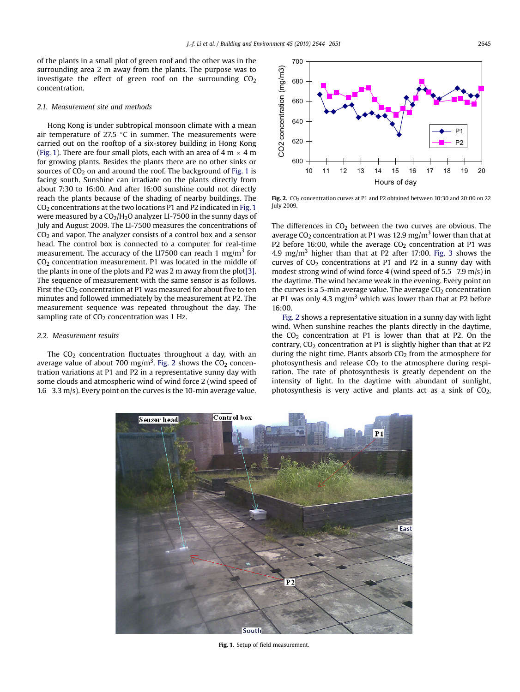of the plants in a small plot of green roof and the other was in the surrounding area 2 m away from the plants. The purpose was to investigate the effect of green roof on the surrounding  $CO<sub>2</sub>$ concentration.

### 2.1. Measurement site and methods

Hong Kong is under subtropical monsoon climate with a mean air temperature of 27.5  $^{\circ}$ C in summer. The measurements were carried out on the rooftop of a six-storey building in Hong Kong (Fig. 1). There are four small plots, each with an area of 4 m  $\times$  4 m for growing plants. Besides the plants there are no other sinks or sources of  $CO<sub>2</sub>$  on and around the roof. The background of Fig. 1 is facing south. Sunshine can irradiate on the plants directly from about 7:30 to 16:00. And after 16:00 sunshine could not directly reach the plants because of the shading of nearby buildings. The  $CO<sub>2</sub>$  concentrations at the two locations P1 and P2 indicated in Fig. 1 were measured by a  $CO<sub>2</sub>/H<sub>2</sub>O$  analyzer LI-7500 in the sunny days of July and August 2009. The LI-7500 measures the concentrations of  $CO<sub>2</sub>$  and vapor. The analyzer consists of a control box and a sensor head. The control box is connected to a computer for real-time measurement. The accuracy of the LI7500 can reach 1 mg/m<sup>3</sup> for  $CO<sub>2</sub>$  concentration measurement. P1 was located in the middle of the plants in one of the plots and P2 was 2 m away from the plot[3]. The sequence of measurement with the same sensor is as follows. First the CO<sub>2</sub> concentration at P1 was measured for about five to ten minutes and followed immediately by the measurement at P2. The measurement sequence was repeated throughout the day. The sampling rate of  $CO<sub>2</sub>$  concentration was 1 Hz.

## 2.2. Measurement results

The  $CO<sub>2</sub>$  concentration fluctuates throughout a day, with an average value of about 700 mg/m<sup>3</sup>. Fig. 2 shows the CO<sub>2</sub> concentration variations at P1 and P2 in a representative sunny day with some clouds and atmospheric wind of wind force 2 (wind speed of  $1.6-3.3$  m/s). Every point on the curves is the 10-min average value.



Fig. 2.  $CO<sub>2</sub>$  concentration curves at P1 and P2 obtained between 10:30 and 20:00 on 22 July 2009.

The differences in  $CO<sub>2</sub>$  between the two curves are obvious. The average CO<sub>2</sub> concentration at P1 was 12.9 mg/m<sup>3</sup> lower than that at P2 before 16:00, while the average  $CO<sub>2</sub>$  concentration at P1 was 4.9 mg/m<sup>3</sup> higher than that at P2 after 17:00. Fig. 3 shows the curves of  $CO<sub>2</sub>$  concentrations at P1 and P2 in a sunny day with modest strong wind of wind force 4 (wind speed of  $5.5-7.9$  m/s) in the daytime. The wind became weak in the evening. Every point on the curves is a 5-min average value. The average  $CO<sub>2</sub>$  concentration at P1 was only 4.3 mg/m<sup>3</sup> which was lower than that at P2 before 16:00.

Fig. 2 shows a representative situation in a sunny day with light wind. When sunshine reaches the plants directly in the daytime, the  $CO<sub>2</sub>$  concentration at P1 is lower than that at P2. On the contrary,  $CO<sub>2</sub>$  concentration at P1 is slightly higher than that at P2 during the night time. Plants absorb  $CO<sub>2</sub>$  from the atmosphere for photosynthesis and release  $CO<sub>2</sub>$  to the atmosphere during respiration. The rate of photosynthesis is greatly dependent on the intensity of light. In the daytime with abundant of sunlight, photosynthesis is very active and plants act as a sink of  $CO<sub>2</sub>$ ,



Fig. 1. Setup of field measurement.